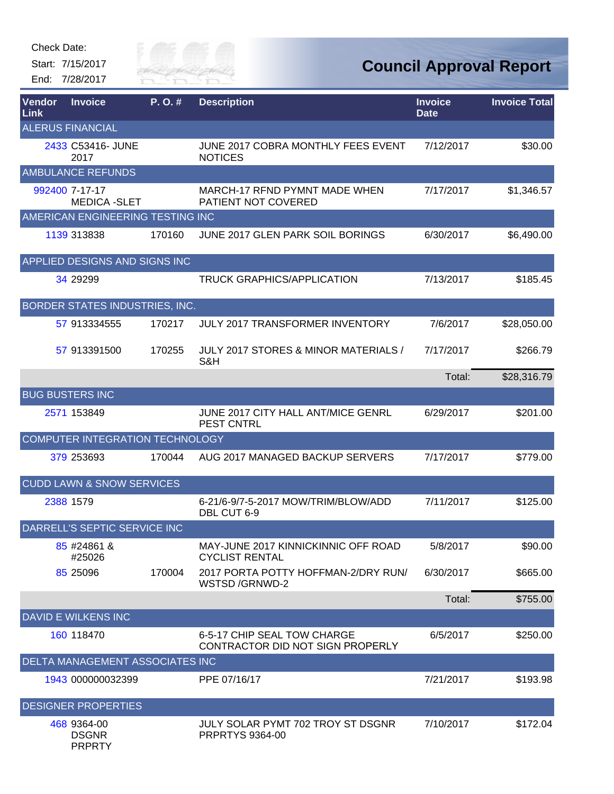Start: 7/15/2017 End: 7/28/2017

PRPRTY



| Vendor<br>Link | <b>Invoice</b>                        | P. O. # | <b>Description</b>                                              | <b>Invoice</b><br><b>Date</b> | <b>Invoice Total</b> |
|----------------|---------------------------------------|---------|-----------------------------------------------------------------|-------------------------------|----------------------|
|                | <b>ALERUS FINANCIAL</b>               |         |                                                                 |                               |                      |
|                | 2433 C53416- JUNE<br>2017             |         | JUNE 2017 COBRA MONTHLY FEES EVENT<br><b>NOTICES</b>            | 7/12/2017                     | \$30.00              |
|                | <b>AMBULANCE REFUNDS</b>              |         |                                                                 |                               |                      |
|                | 992400 7-17-17<br><b>MEDICA -SLET</b> |         | MARCH-17 RFND PYMNT MADE WHEN<br>PATIENT NOT COVERED            | 7/17/2017                     | \$1,346.57           |
|                | AMERICAN ENGINEERING TESTING INC      |         |                                                                 |                               |                      |
|                | 1139 313838                           | 170160  | JUNE 2017 GLEN PARK SOIL BORINGS                                | 6/30/2017                     | \$6,490.00           |
|                | APPLIED DESIGNS AND SIGNS INC         |         |                                                                 |                               |                      |
|                | 34 29299                              |         | <b>TRUCK GRAPHICS/APPLICATION</b>                               | 7/13/2017                     | \$185.45             |
|                | BORDER STATES INDUSTRIES, INC.        |         |                                                                 |                               |                      |
|                | 57 913334555                          | 170217  | <b>JULY 2017 TRANSFORMER INVENTORY</b>                          | 7/6/2017                      | \$28,050.00          |
|                | 57 913391500                          | 170255  | JULY 2017 STORES & MINOR MATERIALS /<br>S&H                     | 7/17/2017                     | \$266.79             |
|                |                                       |         |                                                                 | Total:                        | \$28,316.79          |
|                | <b>BUG BUSTERS INC</b>                |         |                                                                 |                               |                      |
|                | 2571 153849                           |         | JUNE 2017 CITY HALL ANT/MICE GENRL<br><b>PEST CNTRL</b>         | 6/29/2017                     | \$201.00             |
|                | COMPUTER INTEGRATION TECHNOLOGY       |         |                                                                 |                               |                      |
|                | 379 253693                            | 170044  | AUG 2017 MANAGED BACKUP SERVERS                                 | 7/17/2017                     | \$779.00             |
|                | <b>CUDD LAWN &amp; SNOW SERVICES</b>  |         |                                                                 |                               |                      |
|                | 2388 1579                             |         | 6-21/6-9/7-5-2017 MOW/TRIM/BLOW/ADD<br>DBL CUT 6-9              | 7/11/2017                     | \$125.00             |
|                | DARRELL'S SEPTIC SERVICE INC          |         |                                                                 |                               |                      |
|                | 85 #24861 &<br>#25026                 |         | MAY-JUNE 2017 KINNICKINNIC OFF ROAD<br><b>CYCLIST RENTAL</b>    | 5/8/2017                      | \$90.00              |
|                | 85 25096                              | 170004  | 2017 PORTA POTTY HOFFMAN-2/DRY RUN/<br>WSTSD /GRNWD-2           | 6/30/2017                     | \$665.00             |
|                |                                       |         |                                                                 | Total:                        | \$755.00             |
|                | <b>DAVID E WILKENS INC</b>            |         |                                                                 |                               |                      |
|                | 160 118470                            |         | 6-5-17 CHIP SEAL TOW CHARGE<br>CONTRACTOR DID NOT SIGN PROPERLY | 6/5/2017                      | \$250.00             |
|                | DELTA MANAGEMENT ASSOCIATES INC       |         |                                                                 |                               |                      |
|                | 1943 000000032399                     |         | PPE 07/16/17                                                    | 7/21/2017                     | \$193.98             |
|                | <b>DESIGNER PROPERTIES</b>            |         |                                                                 |                               |                      |
|                | 468 9364-00<br><b>DSGNR</b>           |         | JULY SOLAR PYMT 702 TROY ST DSGNR<br><b>PRPRTYS 9364-00</b>     | 7/10/2017                     | \$172.04             |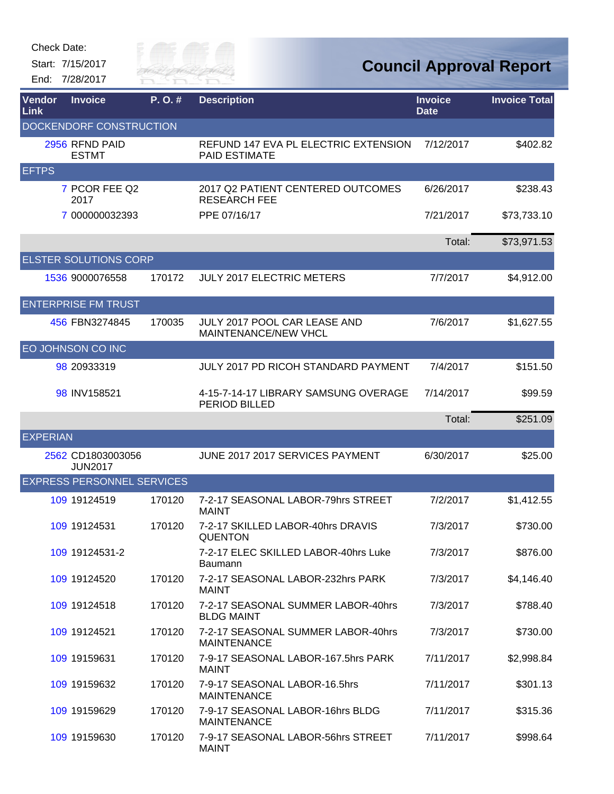Start: 7/15/2017 End: 7/28/2017



## **Council Approval Report**

| <b>Vendor</b><br><b>Link</b> | <b>Invoice</b>                      | P.O.#  | <b>Description</b>                                           | <b>Invoice</b><br><b>Date</b> | <b>Invoice Total</b> |
|------------------------------|-------------------------------------|--------|--------------------------------------------------------------|-------------------------------|----------------------|
|                              | <b>DOCKENDORF CONSTRUCTION</b>      |        |                                                              |                               |                      |
|                              | 2956 RFND PAID<br><b>ESTMT</b>      |        | REFUND 147 EVA PL ELECTRIC EXTENSION<br><b>PAID ESTIMATE</b> | 7/12/2017                     | \$402.82             |
| <b>EFTPS</b>                 |                                     |        |                                                              |                               |                      |
|                              | 7 PCOR FEE Q2<br>2017               |        | 2017 Q2 PATIENT CENTERED OUTCOMES<br><b>RESEARCH FEE</b>     | 6/26/2017                     | \$238.43             |
|                              | 7 000000032393                      |        | PPE 07/16/17                                                 | 7/21/2017                     | \$73,733.10          |
|                              |                                     |        |                                                              | Total:                        | \$73,971.53          |
|                              | <b>ELSTER SOLUTIONS CORP</b>        |        |                                                              |                               |                      |
|                              | 1536 9000076558                     | 170172 | <b>JULY 2017 ELECTRIC METERS</b>                             | 7/7/2017                      | \$4,912.00           |
|                              | <b>ENTERPRISE FM TRUST</b>          |        |                                                              |                               |                      |
|                              | 456 FBN3274845                      | 170035 | JULY 2017 POOL CAR LEASE AND<br>MAINTENANCE/NEW VHCL         | 7/6/2017                      | \$1,627.55           |
|                              | EO JOHNSON CO INC                   |        |                                                              |                               |                      |
|                              | 98 20933319                         |        | <b>JULY 2017 PD RICOH STANDARD PAYMENT</b>                   | 7/4/2017                      | \$151.50             |
|                              | 98 INV158521                        |        | 4-15-7-14-17 LIBRARY SAMSUNG OVERAGE<br>PERIOD BILLED        | 7/14/2017                     | \$99.59              |
|                              |                                     |        |                                                              | Total:                        | \$251.09             |
| <b>EXPERIAN</b>              |                                     |        |                                                              |                               |                      |
|                              | 2562 CD1803003056<br><b>JUN2017</b> |        | JUNE 2017 2017 SERVICES PAYMENT                              | 6/30/2017                     | \$25.00              |
|                              | <b>EXPRESS PERSONNEL SERVICES</b>   |        |                                                              |                               |                      |
|                              | 109 19124519                        | 170120 | 7-2-17 SEASONAL LABOR-79hrs STREET<br><b>MAINT</b>           | 7/2/2017                      | \$1,412.55           |
|                              | 109 19124531                        | 170120 | 7-2-17 SKILLED LABOR-40hrs DRAVIS<br><b>QUENTON</b>          | 7/3/2017                      | \$730.00             |
|                              | 109 19124531-2                      |        | 7-2-17 ELEC SKILLED LABOR-40hrs Luke<br><b>Baumann</b>       | 7/3/2017                      | \$876.00             |
|                              | 109 19124520                        | 170120 | 7-2-17 SEASONAL LABOR-232hrs PARK<br><b>MAINT</b>            | 7/3/2017                      | \$4,146.40           |
|                              | 109 19124518                        | 170120 | 7-2-17 SEASONAL SUMMER LABOR-40hrs<br><b>BLDG MAINT</b>      | 7/3/2017                      | \$788.40             |
|                              | 109 19124521                        | 170120 | 7-2-17 SEASONAL SUMMER LABOR-40hrs<br><b>MAINTENANCE</b>     | 7/3/2017                      | \$730.00             |
|                              | 109 19159631                        | 170120 | 7-9-17 SEASONAL LABOR-167.5hrs PARK<br><b>MAINT</b>          | 7/11/2017                     | \$2,998.84           |
|                              | 109 19159632                        | 170120 | 7-9-17 SEASONAL LABOR-16.5hrs<br><b>MAINTENANCE</b>          | 7/11/2017                     | \$301.13             |
|                              | 109 19159629                        | 170120 | 7-9-17 SEASONAL LABOR-16hrs BLDG<br><b>MAINTENANCE</b>       | 7/11/2017                     | \$315.36             |
|                              | 109 19159630                        | 170120 | 7-9-17 SEASONAL LABOR-56hrs STREET<br><b>MAINT</b>           | 7/11/2017                     | \$998.64             |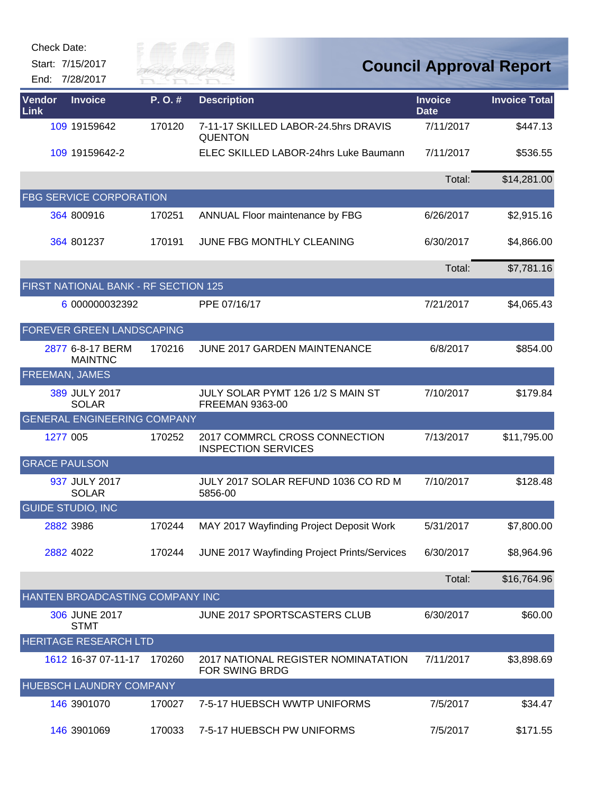| Check Date:                          |                      |                                                             |                               |                                |
|--------------------------------------|----------------------|-------------------------------------------------------------|-------------------------------|--------------------------------|
| Start: 7/15/2017<br>End: 7/28/2017   | City of<br>RIVER FAI |                                                             |                               | <b>Council Approval Report</b> |
| Vendor<br><b>Invoice</b><br>Link     | P.O.#                | <b>Description</b>                                          | <b>Invoice</b><br><b>Date</b> | <b>Invoice Total</b>           |
| 109 19159642                         | 170120               | 7-11-17 SKILLED LABOR-24.5hrs DRAVIS<br><b>QUENTON</b>      | 7/11/2017                     | \$447.13                       |
| 109 19159642-2                       |                      | ELEC SKILLED LABOR-24hrs Luke Baumann                       | 7/11/2017                     | \$536.55                       |
|                                      |                      |                                                             | Total:                        | \$14,281.00                    |
| <b>FBG SERVICE CORPORATION</b>       |                      |                                                             |                               |                                |
| 364 800916                           | 170251               | ANNUAL Floor maintenance by FBG                             | 6/26/2017                     | \$2,915.16                     |
| 364 801237                           | 170191               | JUNE FBG MONTHLY CLEANING                                   | 6/30/2017                     | \$4,866.00                     |
|                                      |                      |                                                             | Total:                        | \$7,781.16                     |
| FIRST NATIONAL BANK - RF SECTION 125 |                      |                                                             |                               |                                |
| 6 000000032392                       |                      | PPE 07/16/17                                                | 7/21/2017                     | \$4,065.43                     |
| FOREVER GREEN LANDSCAPING            |                      |                                                             |                               |                                |
| 2877 6-8-17 BERM<br><b>MAINTNC</b>   | 170216               | <b>JUNE 2017 GARDEN MAINTENANCE</b>                         | 6/8/2017                      | \$854.00                       |
| FREEMAN, JAMES                       |                      |                                                             |                               |                                |
| 389 JULY 2017<br><b>SOLAR</b>        |                      | JULY SOLAR PYMT 126 1/2 S MAIN ST<br>FREEMAN 9363-00        | 7/10/2017                     | \$179.84                       |
| <b>GENERAL ENGINEERING COMPANY</b>   |                      |                                                             |                               |                                |
| 1277 005                             | 170252               | 2017 COMMRCL CROSS CONNECTION<br><b>INSPECTION SERVICES</b> | 7/13/2017                     | \$11,795.00                    |
| <b>GRACE PAULSON</b>                 |                      |                                                             |                               |                                |
| 937 JULY 2017<br><b>SOLAR</b>        |                      | JULY 2017 SOLAR REFUND 1036 CO RD M<br>5856-00              | 7/10/2017                     | \$128.48                       |
| <b>GUIDE STUDIO, INC</b>             |                      |                                                             |                               |                                |
| 2882 3986                            | 170244               | MAY 2017 Wayfinding Project Deposit Work                    | 5/31/2017                     | \$7,800.00                     |
| 2882 4022                            | 170244               | JUNE 2017 Wayfinding Project Prints/Services                | 6/30/2017                     | \$8,964.96                     |
|                                      |                      |                                                             | Total:                        | \$16,764.96                    |
| HANTEN BROADCASTING COMPANY INC      |                      |                                                             |                               |                                |
| 306 JUNE 2017<br><b>STMT</b>         |                      | JUNE 2017 SPORTSCASTERS CLUB                                | 6/30/2017                     | \$60.00                        |
| HERITAGE RESEARCH LTD                |                      |                                                             |                               |                                |
| 1612 16-37 07-11-17                  | 170260               | 2017 NATIONAL REGISTER NOMINATATION<br>FOR SWING BRDG       | 7/11/2017                     | \$3,898.69                     |
| HUEBSCH LAUNDRY COMPANY              |                      |                                                             |                               |                                |
| 146 3901070                          | 170027               | 7-5-17 HUEBSCH WWTP UNIFORMS                                | 7/5/2017                      | \$34.47                        |
| 146 3901069                          | 170033               | 7-5-17 HUEBSCH PW UNIFORMS                                  | 7/5/2017                      | \$171.55                       |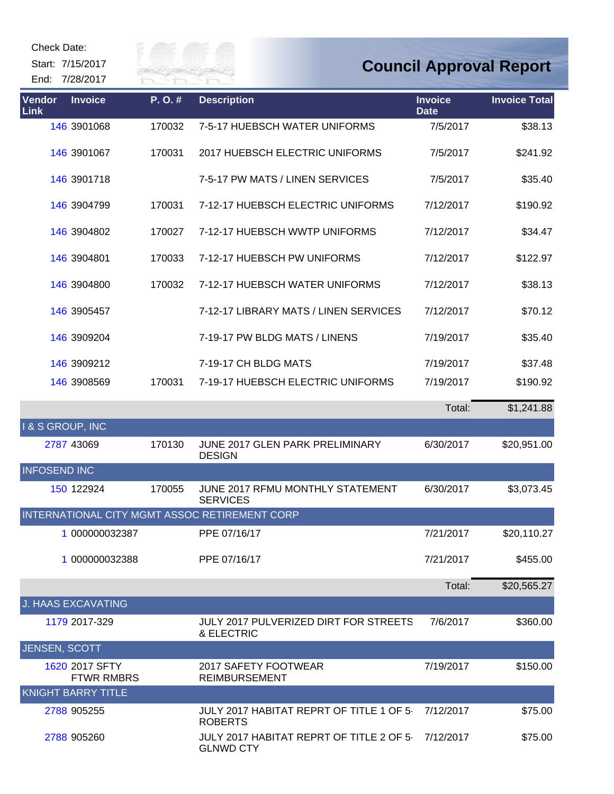Start: 7/15/2017

End: 7/28/2017



## **Council Approval Report**

| Vendor<br>Link             | <b>Invoice</b>                      | P.O.#  | <b>Description</b>                                          | <b>Invoice</b><br><b>Date</b> | <b>Invoice Total</b> |
|----------------------------|-------------------------------------|--------|-------------------------------------------------------------|-------------------------------|----------------------|
|                            | 146 3901068                         | 170032 | 7-5-17 HUEBSCH WATER UNIFORMS                               | 7/5/2017                      | \$38.13              |
|                            | 146 3901067                         | 170031 | 2017 HUEBSCH ELECTRIC UNIFORMS                              | 7/5/2017                      | \$241.92             |
|                            | 146 3901718                         |        | 7-5-17 PW MATS / LINEN SERVICES                             | 7/5/2017                      | \$35.40              |
|                            | 146 3904799                         | 170031 | 7-12-17 HUEBSCH ELECTRIC UNIFORMS                           | 7/12/2017                     | \$190.92             |
|                            | 146 3904802                         | 170027 | 7-12-17 HUEBSCH WWTP UNIFORMS                               | 7/12/2017                     | \$34.47              |
|                            | 146 3904801                         | 170033 | 7-12-17 HUEBSCH PW UNIFORMS                                 | 7/12/2017                     | \$122.97             |
|                            | 146 3904800                         | 170032 | 7-12-17 HUEBSCH WATER UNIFORMS                              | 7/12/2017                     | \$38.13              |
|                            | 146 3905457                         |        | 7-12-17 LIBRARY MATS / LINEN SERVICES                       | 7/12/2017                     | \$70.12              |
|                            | 146 3909204                         |        | 7-19-17 PW BLDG MATS / LINENS                               | 7/19/2017                     | \$35.40              |
|                            | 146 3909212                         |        | 7-19-17 CH BLDG MATS                                        | 7/19/2017                     | \$37.48              |
|                            | 146 3908569                         | 170031 | 7-19-17 HUEBSCH ELECTRIC UNIFORMS                           | 7/19/2017                     | \$190.92             |
|                            |                                     |        |                                                             | Total:                        | \$1,241.88           |
| <b>1&amp; S GROUP, INC</b> |                                     |        |                                                             |                               |                      |
|                            | 2787 43069                          | 170130 | JUNE 2017 GLEN PARK PRELIMINARY<br><b>DESIGN</b>            | 6/30/2017                     | \$20,951.00          |
| <b>INFOSEND INC</b>        |                                     |        |                                                             |                               |                      |
|                            | 150 122924                          | 170055 | JUNE 2017 RFMU MONTHLY STATEMENT<br><b>SERVICES</b>         | 6/30/2017                     | \$3,073.45           |
|                            |                                     |        | INTERNATIONAL CITY MGMT ASSOC RETIREMENT CORP               |                               |                      |
|                            | 1 000000032387                      |        | PPE 07/16/17                                                | 7/21/2017                     | \$20,110.27          |
|                            | 1 000000032388                      |        | PPE 07/16/17                                                | 7/21/2017                     | \$455.00             |
|                            |                                     |        |                                                             | Total:                        | \$20,565.27          |
|                            | <b>J. HAAS EXCAVATING</b>           |        |                                                             |                               |                      |
|                            | 1179 2017-329                       |        | <b>JULY 2017 PULVERIZED DIRT FOR STREETS</b><br>& ELECTRIC  | 7/6/2017                      | \$360.00             |
| <b>JENSEN, SCOTT</b>       |                                     |        |                                                             |                               |                      |
|                            | 1620 2017 SFTY<br><b>FTWR RMBRS</b> |        | 2017 SAFETY FOOTWEAR<br><b>REIMBURSEMENT</b>                | 7/19/2017                     | \$150.00             |
|                            | <b>KNIGHT BARRY TITLE</b>           |        |                                                             |                               |                      |
|                            | 2788 905255                         |        | JULY 2017 HABITAT REPRT OF TITLE 1 OF 5-<br><b>ROBERTS</b>  | 7/12/2017                     | \$75.00              |
|                            | 2788 905260                         |        | JULY 2017 HABITAT REPRT OF TITLE 2 OF 5<br><b>GLNWD CTY</b> | 7/12/2017                     | \$75.00              |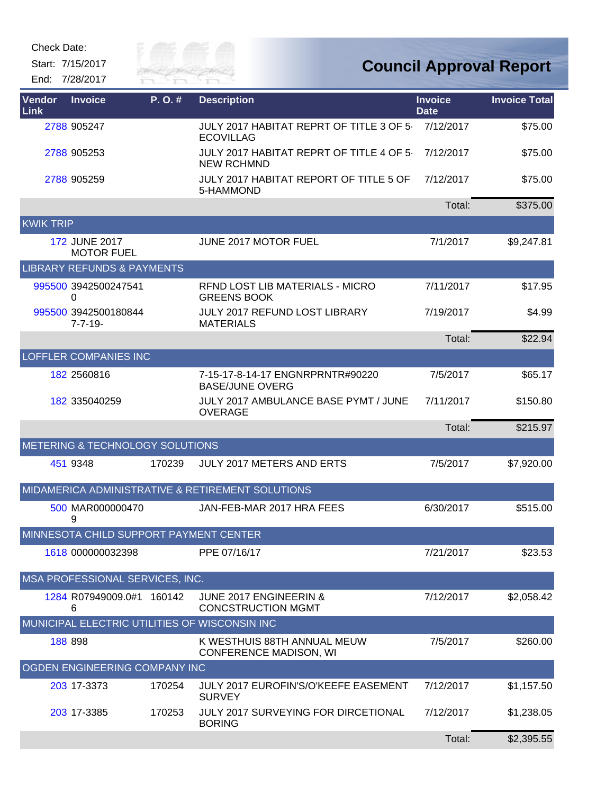Start: 7/15/2017

End: 7/28/2017



| Vendor<br><b>Link</b> | <b>Invoice</b>                         | P. O. # | <b>Description</b>                                            | <b>Invoice</b><br><b>Date</b> | <b>Invoice Total</b> |
|-----------------------|----------------------------------------|---------|---------------------------------------------------------------|-------------------------------|----------------------|
|                       | 2788 905247                            |         | JULY 2017 HABITAT REPRT OF TITLE 3 OF 5<br><b>ECOVILLAG</b>   | 7/12/2017                     | \$75.00              |
|                       | 2788 905253                            |         | JULY 2017 HABITAT REPRT OF TITLE 4 OF 5-<br><b>NEW RCHMND</b> | 7/12/2017                     | \$75.00              |
|                       | 2788 905259                            |         | JULY 2017 HABITAT REPORT OF TITLE 5 OF<br>5-HAMMOND           | 7/12/2017                     | \$75.00              |
|                       |                                        |         |                                                               | Total:                        | \$375.00             |
| <b>KWIK TRIP</b>      |                                        |         |                                                               |                               |                      |
|                       | 172 JUNE 2017<br><b>MOTOR FUEL</b>     |         | JUNE 2017 MOTOR FUEL                                          | 7/1/2017                      | \$9,247.81           |
|                       | <b>LIBRARY REFUNDS &amp; PAYMENTS</b>  |         |                                                               |                               |                      |
|                       | 995500 3942500247541<br>0              |         | RFND LOST LIB MATERIALS - MICRO<br><b>GREENS BOOK</b>         | 7/11/2017                     | \$17.95              |
|                       | 995500 3942500180844<br>$7 - 7 - 19$   |         | JULY 2017 REFUND LOST LIBRARY<br><b>MATERIALS</b>             | 7/19/2017                     | \$4.99               |
|                       |                                        |         |                                                               | Total:                        | \$22.94              |
|                       | <b>LOFFLER COMPANIES INC</b>           |         |                                                               |                               |                      |
|                       | 182 2560816                            |         | 7-15-17-8-14-17 ENGNRPRNTR#90220<br><b>BASE/JUNE OVERG</b>    | 7/5/2017                      | \$65.17              |
|                       | 182 335040259                          |         | JULY 2017 AMBULANCE BASE PYMT / JUNE<br><b>OVERAGE</b>        | 7/11/2017                     | \$150.80             |
|                       |                                        |         |                                                               | Total:                        | \$215.97             |
|                       | METERING & TECHNOLOGY SOLUTIONS        |         |                                                               |                               |                      |
|                       | 451 9348                               | 170239  | JULY 2017 METERS AND ERTS                                     | 7/5/2017                      | \$7,920.00           |
|                       |                                        |         | MIDAMERICA ADMINISTRATIVE & RETIREMENT SOLUTIONS              |                               |                      |
|                       | 500 MAR000000470<br>9                  |         | JAN-FEB-MAR 2017 HRA FEES                                     | 6/30/2017                     | \$515.00             |
|                       | MINNESOTA CHILD SUPPORT PAYMENT CENTER |         |                                                               |                               |                      |
|                       | 1618 000000032398                      |         | PPE 07/16/17                                                  | 7/21/2017                     | \$23.53              |
|                       | MSA PROFESSIONAL SERVICES, INC.        |         |                                                               |                               |                      |
|                       | 1284 R07949009.0#1 160142<br>6         |         | JUNE 2017 ENGINEERIN &<br><b>CONCSTRUCTION MGMT</b>           | 7/12/2017                     | \$2,058.42           |
|                       |                                        |         | MUNICIPAL ELECTRIC UTILITIES OF WISCONSIN INC                 |                               |                      |
|                       | 188 898                                |         | K WESTHUIS 88TH ANNUAL MEUW<br><b>CONFERENCE MADISON, WI</b>  | 7/5/2017                      | \$260.00             |
|                       | OGDEN ENGINEERING COMPANY INC          |         |                                                               |                               |                      |
|                       | 203 17-3373                            | 170254  | <b>JULY 2017 EUROFIN'S/O'KEEFE EASEMENT</b><br><b>SURVEY</b>  | 7/12/2017                     | \$1,157.50           |
|                       | 203 17-3385                            | 170253  | <b>JULY 2017 SURVEYING FOR DIRCETIONAL</b><br><b>BORING</b>   | 7/12/2017                     | \$1,238.05           |
|                       |                                        |         |                                                               | Total:                        | \$2,395.55           |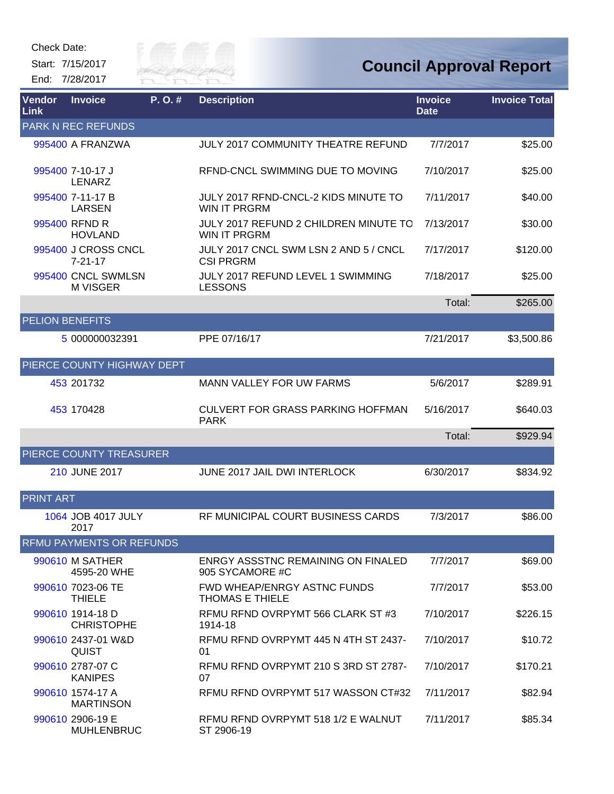

| Vendor<br>Link         | <b>Invoice</b>                        | P.O.# | <b>Description</b>                                           | <b>Invoice</b><br><b>Date</b> | <b>Invoice Total</b> |
|------------------------|---------------------------------------|-------|--------------------------------------------------------------|-------------------------------|----------------------|
|                        | <b>PARK N REC REFUNDS</b>             |       |                                                              |                               |                      |
|                        | 995400 A FRANZWA                      |       | <b>JULY 2017 COMMUNITY THEATRE REFUND</b>                    | 7/7/2017                      | \$25.00              |
|                        | 995400 7-10-17 J<br><b>LENARZ</b>     |       | REND-CNCL SWIMMING DUE TO MOVING                             | 7/10/2017                     | \$25.00              |
|                        | 995400 7-11-17 B<br><b>LARSEN</b>     |       | JULY 2017 RFND-CNCL-2 KIDS MINUTE TO<br>WIN IT PRGRM         | 7/11/2017                     | \$40.00              |
|                        | 995400 RFND R<br><b>HOVLAND</b>       |       | JULY 2017 REFUND 2 CHILDREN MINUTE TO<br><b>WIN IT PRGRM</b> | 7/13/2017                     | \$30.00              |
|                        | 995400 J CROSS CNCL<br>$7 - 21 - 17$  |       | JULY 2017 CNCL SWM LSN 2 AND 5 / CNCL<br><b>CSI PRGRM</b>    | 7/17/2017                     | \$120.00             |
|                        | 995400 CNCL SWMLSN<br>M VISGER        |       | JULY 2017 REFUND LEVEL 1 SWIMMING<br><b>LESSONS</b>          | 7/18/2017                     | \$25.00              |
|                        |                                       |       |                                                              | Total:                        | \$265.00             |
| <b>PELION BENEFITS</b> |                                       |       |                                                              |                               |                      |
|                        | 5 000000032391                        |       | PPE 07/16/17                                                 | 7/21/2017                     | \$3,500.86           |
|                        | PIERCE COUNTY HIGHWAY DEPT            |       |                                                              |                               |                      |
|                        | 453 201732                            |       | <b>MANN VALLEY FOR UW FARMS</b>                              | 5/6/2017                      | \$289.91             |
|                        | 453 170428                            |       | <b>CULVERT FOR GRASS PARKING HOFFMAN</b><br><b>PARK</b>      | 5/16/2017                     | \$640.03             |
|                        |                                       |       |                                                              | Total:                        | \$929.94             |
|                        | PIERCE COUNTY TREASURER               |       |                                                              |                               |                      |
|                        | 210 JUNE 2017                         |       | JUNE 2017 JAIL DWI INTERLOCK                                 | 6/30/2017                     | \$834.92             |
| <b>PRINT ART</b>       |                                       |       |                                                              |                               |                      |
|                        | 1064 JOB 4017 JULY<br>2017            |       | RF MUNICIPAL COURT BUSINESS CARDS                            | 7/3/2017                      | \$86.00              |
|                        | <b>RFMU PAYMENTS OR REFUNDS</b>       |       |                                                              |                               |                      |
|                        | 990610 M SATHER<br>4595-20 WHE        |       | ENRGY ASSSTNC REMAINING ON FINALED<br>905 SYCAMORE #C        | 7/7/2017                      | \$69.00              |
|                        | 990610 7023-06 TE<br><b>THIELE</b>    |       | <b>FWD WHEAP/ENRGY ASTNC FUNDS</b><br><b>THOMAS E THIELE</b> | 7/7/2017                      | \$53.00              |
|                        | 990610 1914-18 D<br><b>CHRISTOPHE</b> |       | RFMU RFND OVRPYMT 566 CLARK ST #3<br>1914-18                 | 7/10/2017                     | \$226.15             |
|                        | 990610 2437-01 W&D<br><b>QUIST</b>    |       | RFMU RFND OVRPYMT 445 N 4TH ST 2437-<br>01                   | 7/10/2017                     | \$10.72              |
|                        | 990610 2787-07 C<br><b>KANIPES</b>    |       | RFMU RFND OVRPYMT 210 S 3RD ST 2787-<br>07                   | 7/10/2017                     | \$170.21             |
|                        | 990610 1574-17 A<br><b>MARTINSON</b>  |       | RFMU RFND OVRPYMT 517 WASSON CT#32                           | 7/11/2017                     | \$82.94              |
|                        | 990610 2906-19 E<br><b>MUHLENBRUC</b> |       | RFMU RFND OVRPYMT 518 1/2 E WALNUT<br>ST 2906-19             | 7/11/2017                     | \$85.34              |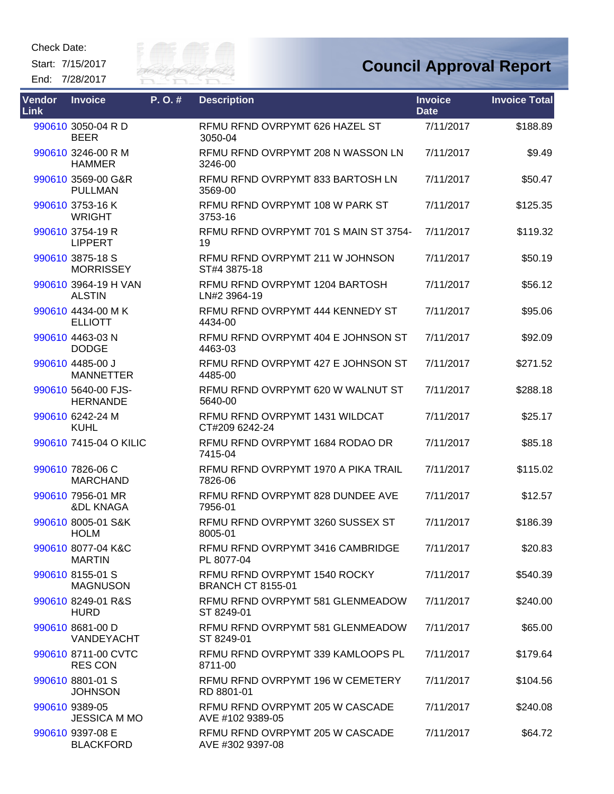Start: 7/15/2017 End: 7/28/2017



## **Council Approval Report**

| Vendor<br>Link | <b>Invoice</b>                            | P.O.# | <b>Description</b>                                       | <b>Invoice</b><br><b>Date</b> | <b>Invoice Total</b> |
|----------------|-------------------------------------------|-------|----------------------------------------------------------|-------------------------------|----------------------|
|                | 990610 3050-04 R D<br><b>BEER</b>         |       | RFMU RFND OVRPYMT 626 HAZEL ST<br>3050-04                | 7/11/2017                     | \$188.89             |
|                | 990610 3246-00 R M<br><b>HAMMER</b>       |       | RFMU RFND OVRPYMT 208 N WASSON LN<br>3246-00             | 7/11/2017                     | \$9.49               |
|                | 990610 3569-00 G&R<br><b>PULLMAN</b>      |       | RFMU RFND OVRPYMT 833 BARTOSH LN<br>3569-00              | 7/11/2017                     | \$50.47              |
|                | 990610 3753-16 K<br><b>WRIGHT</b>         |       | RFMU RFND OVRPYMT 108 W PARK ST<br>3753-16               | 7/11/2017                     | \$125.35             |
|                | 990610 3754-19 R<br><b>LIPPERT</b>        |       | RFMU RFND OVRPYMT 701 S MAIN ST 3754-<br>19              | 7/11/2017                     | \$119.32             |
|                | 990610 3875-18 S<br><b>MORRISSEY</b>      |       | RFMU RFND OVRPYMT 211 W JOHNSON<br>ST#4 3875-18          | 7/11/2017                     | \$50.19              |
|                | 990610 3964-19 H VAN<br><b>ALSTIN</b>     |       | RFMU RFND OVRPYMT 1204 BARTOSH<br>LN#2 3964-19           | 7/11/2017                     | \$56.12              |
|                | 990610 4434-00 MK<br><b>ELLIOTT</b>       |       | RFMU RFND OVRPYMT 444 KENNEDY ST<br>4434-00              | 7/11/2017                     | \$95.06              |
|                | 990610 4463-03 N<br><b>DODGE</b>          |       | RFMU RFND OVRPYMT 404 E JOHNSON ST<br>4463-03            | 7/11/2017                     | \$92.09              |
|                | 990610 4485-00 J<br><b>MANNETTER</b>      |       | RFMU RFND OVRPYMT 427 E JOHNSON ST<br>4485-00            | 7/11/2017                     | \$271.52             |
|                | 990610 5640-00 FJS-<br><b>HERNANDE</b>    |       | RFMU RFND OVRPYMT 620 W WALNUT ST<br>5640-00             | 7/11/2017                     | \$288.18             |
|                | 990610 6242-24 M<br><b>KUHL</b>           |       | RFMU RFND OVRPYMT 1431 WILDCAT<br>CT#209 6242-24         | 7/11/2017                     | \$25.17              |
|                | 990610 7415-04 O KILIC                    |       | RFMU RFND OVRPYMT 1684 RODAO DR<br>7415-04               | 7/11/2017                     | \$85.18              |
|                | 990610 7826-06 C<br><b>MARCHAND</b>       |       | RFMU RFND OVRPYMT 1970 A PIKA TRAIL<br>7826-06           | 7/11/2017                     | \$115.02             |
|                | 990610 7956-01 MR<br><b>&amp;DL KNAGA</b> |       | RFMU RFND OVRPYMT 828 DUNDEE AVE<br>7956-01              | 7/11/2017                     | \$12.57              |
|                | 990610 8005-01 S&K<br><b>HOLM</b>         |       | RFMU RFND OVRPYMT 3260 SUSSEX ST<br>8005-01              | 7/11/2017                     | \$186.39             |
|                | 990610 8077-04 K&C<br><b>MARTIN</b>       |       | REMU REND OVRPYMT 3416 CAMBRIDGE<br>PL 8077-04           | 7/11/2017                     | \$20.83              |
|                | 990610 8155-01 S<br><b>MAGNUSON</b>       |       | RFMU RFND OVRPYMT 1540 ROCKY<br><b>BRANCH CT 8155-01</b> | 7/11/2017                     | \$540.39             |
|                | 990610 8249-01 R&S<br><b>HURD</b>         |       | RFMU RFND OVRPYMT 581 GLENMEADOW<br>ST 8249-01           | 7/11/2017                     | \$240.00             |
|                | 990610 8681-00 D<br><b>VANDEYACHT</b>     |       | RFMU RFND OVRPYMT 581 GLENMEADOW<br>ST 8249-01           | 7/11/2017                     | \$65.00              |
|                | 990610 8711-00 CVTC<br><b>RES CON</b>     |       | RFMU RFND OVRPYMT 339 KAMLOOPS PL<br>8711-00             | 7/11/2017                     | \$179.64             |
|                | 990610 8801-01 S<br><b>JOHNSON</b>        |       | RFMU RFND OVRPYMT 196 W CEMETERY<br>RD 8801-01           | 7/11/2017                     | \$104.56             |
|                | 990610 9389-05<br><b>JESSICA M MO</b>     |       | RFMU RFND OVRPYMT 205 W CASCADE<br>AVE #102 9389-05      | 7/11/2017                     | \$240.08             |
|                | 990610 9397-08 E<br><b>BLACKFORD</b>      |       | RFMU RFND OVRPYMT 205 W CASCADE<br>AVE #302 9397-08      | 7/11/2017                     | \$64.72              |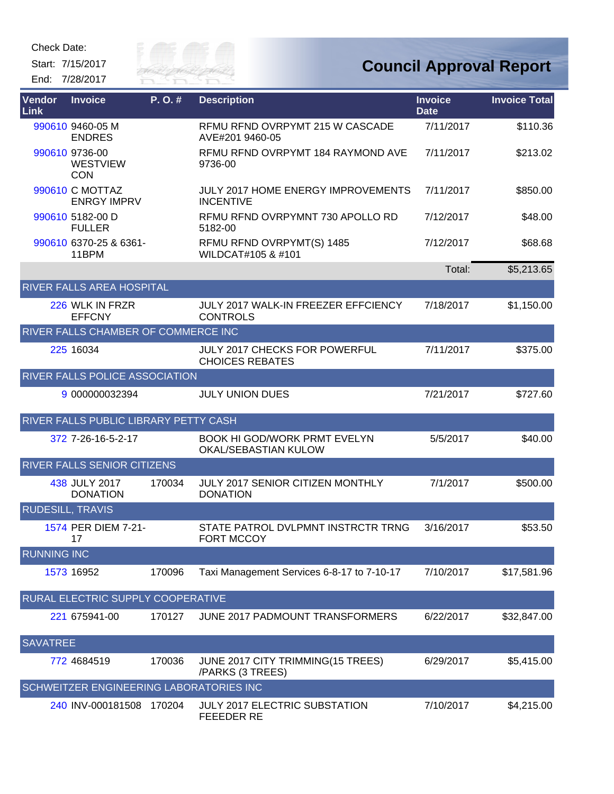

| <b>Vendor</b><br>Link   | <b>Invoice</b>                                  | P.O.#  | <b>Description</b>                                          | <b>Invoice</b><br><b>Date</b> | <b>Invoice Total</b> |
|-------------------------|-------------------------------------------------|--------|-------------------------------------------------------------|-------------------------------|----------------------|
|                         | 990610 9460-05 M<br><b>ENDRES</b>               |        | RFMU RFND OVRPYMT 215 W CASCADE<br>AVE#201 9460-05          | 7/11/2017                     | \$110.36             |
|                         | 990610 9736-00<br><b>WESTVIEW</b><br><b>CON</b> |        | RFMU RFND OVRPYMT 184 RAYMOND AVE<br>9736-00                | 7/11/2017                     | \$213.02             |
|                         | 990610 C MOTTAZ<br><b>ENRGY IMPRV</b>           |        | JULY 2017 HOME ENERGY IMPROVEMENTS<br><b>INCENTIVE</b>      | 7/11/2017                     | \$850.00             |
|                         | 990610 5182-00 D<br><b>FULLER</b>               |        | RFMU RFND OVRPYMNT 730 APOLLO RD<br>5182-00                 | 7/12/2017                     | \$48.00              |
|                         | 990610 6370-25 & 6361-<br>11BPM                 |        | RFMU RFND OVRPYMT(S) 1485<br>WILDCAT#105 & #101             | 7/12/2017                     | \$68.68              |
|                         |                                                 |        |                                                             | Total:                        | \$5,213.65           |
|                         | RIVER FALLS AREA HOSPITAL                       |        |                                                             |                               |                      |
|                         | 226 WLK IN FRZR<br><b>EFFCNY</b>                |        | JULY 2017 WALK-IN FREEZER EFFCIENCY<br><b>CONTROLS</b>      | 7/18/2017                     | \$1,150.00           |
|                         | RIVER FALLS CHAMBER OF COMMERCE INC             |        |                                                             |                               |                      |
|                         | 225 16034                                       |        | JULY 2017 CHECKS FOR POWERFUL<br><b>CHOICES REBATES</b>     | 7/11/2017                     | \$375.00             |
|                         | RIVER FALLS POLICE ASSOCIATION                  |        |                                                             |                               |                      |
|                         | 9 000000032394                                  |        | <b>JULY UNION DUES</b>                                      | 7/21/2017                     | \$727.60             |
|                         | RIVER FALLS PUBLIC LIBRARY PETTY CASH           |        |                                                             |                               |                      |
|                         | 372 7-26-16-5-2-17                              |        | <b>BOOK HI GOD/WORK PRMT EVELYN</b><br>OKAL/SEBASTIAN KULOW | 5/5/2017                      | \$40.00              |
|                         | RIVER FALLS SENIOR CITIZENS                     |        |                                                             |                               |                      |
|                         | 438 JULY 2017<br><b>DONATION</b>                | 170034 | JULY 2017 SENIOR CITIZEN MONTHLY<br><b>DONATION</b>         | 7/1/2017                      | \$500.00             |
| <b>RUDESILL, TRAVIS</b> |                                                 |        |                                                             |                               |                      |
|                         | 1574 PER DIEM 7-21-<br>17                       |        | STATE PATROL DVLPMNT INSTRCTR TRNG<br><b>FORT MCCOY</b>     | 3/16/2017                     | \$53.50              |
| <b>RUNNING INC</b>      |                                                 |        |                                                             |                               |                      |
|                         | 1573 16952                                      | 170096 | Taxi Management Services 6-8-17 to 7-10-17                  | 7/10/2017                     | \$17,581.96          |
|                         | RURAL ELECTRIC SUPPLY COOPERATIVE               |        |                                                             |                               |                      |
|                         | 221 675941-00                                   | 170127 | JUNE 2017 PADMOUNT TRANSFORMERS                             | 6/22/2017                     | \$32,847.00          |
| <b>SAVATREE</b>         |                                                 |        |                                                             |                               |                      |
|                         | 772 4684519                                     | 170036 | JUNE 2017 CITY TRIMMING(15 TREES)<br>/PARKS (3 TREES)       | 6/29/2017                     | \$5,415.00           |
|                         | SCHWEITZER ENGINEERING LABORATORIES INC         |        |                                                             |                               |                      |
|                         | 240 INV-000181508 170204                        |        | <b>JULY 2017 ELECTRIC SUBSTATION</b><br><b>FEEEDER RE</b>   | 7/10/2017                     | \$4,215.00           |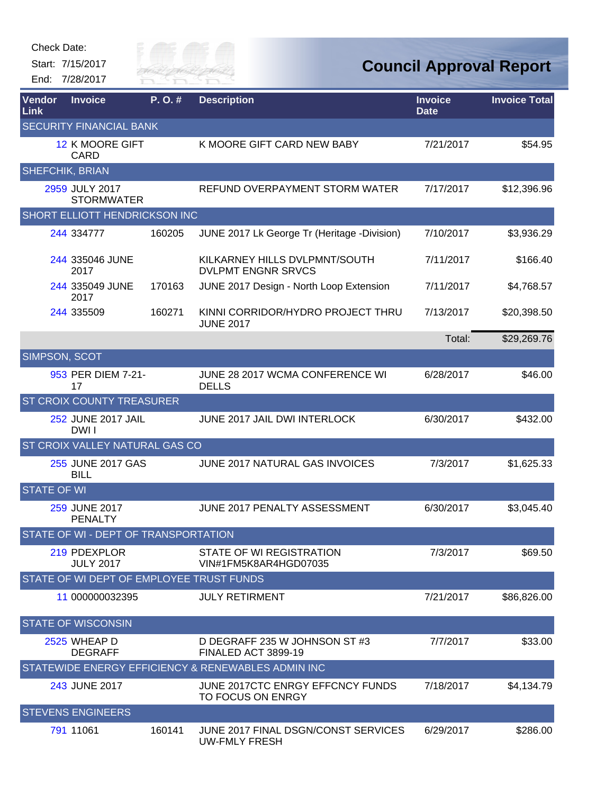

| Vendor<br>Link         | <b>Invoice</b>                           | P. O. # | <b>Description</b>                                          | <b>Invoice</b><br><b>Date</b> | <b>Invoice Total</b> |
|------------------------|------------------------------------------|---------|-------------------------------------------------------------|-------------------------------|----------------------|
|                        | <b>SECURITY FINANCIAL BANK</b>           |         |                                                             |                               |                      |
|                        | <b>12 K MOORE GIFT</b><br><b>CARD</b>    |         | K MOORE GIFT CARD NEW BABY                                  | 7/21/2017                     | \$54.95              |
| <b>SHEFCHIK, BRIAN</b> |                                          |         |                                                             |                               |                      |
|                        | 2959 JULY 2017<br><b>STORMWATER</b>      |         | REFUND OVERPAYMENT STORM WATER                              | 7/17/2017                     | \$12,396.96          |
|                        | <b>SHORT ELLIOTT HENDRICKSON INC</b>     |         |                                                             |                               |                      |
|                        | 244 334777                               | 160205  | JUNE 2017 Lk George Tr (Heritage -Division)                 | 7/10/2017                     | \$3,936.29           |
|                        | 244 335046 JUNE<br>2017                  |         | KILKARNEY HILLS DVLPMNT/SOUTH<br><b>DVLPMT ENGNR SRVCS</b>  | 7/11/2017                     | \$166.40             |
|                        | 244 335049 JUNE<br>2017                  | 170163  | JUNE 2017 Design - North Loop Extension                     | 7/11/2017                     | \$4,768.57           |
|                        | 244 335509                               | 160271  | KINNI CORRIDOR/HYDRO PROJECT THRU<br><b>JUNE 2017</b>       | 7/13/2017                     | \$20,398.50          |
|                        |                                          |         |                                                             | Total:                        | \$29,269.76          |
| <b>SIMPSON, SCOT</b>   |                                          |         |                                                             |                               |                      |
|                        | 953 PER DIEM 7-21-<br>17                 |         | JUNE 28 2017 WCMA CONFERENCE WI<br><b>DELLS</b>             | 6/28/2017                     | \$46.00              |
|                        | <b>ST CROIX COUNTY TREASURER</b>         |         |                                                             |                               |                      |
|                        | 252 JUNE 2017 JAIL<br>DWI I              |         | JUNE 2017 JAIL DWI INTERLOCK                                | 6/30/2017                     | \$432.00             |
|                        | ST CROIX VALLEY NATURAL GAS CO           |         |                                                             |                               |                      |
|                        | 255 JUNE 2017 GAS<br><b>BILL</b>         |         | JUNE 2017 NATURAL GAS INVOICES                              | 7/3/2017                      | \$1,625.33           |
| <b>STATE OF WI</b>     |                                          |         |                                                             |                               |                      |
|                        | 259 JUNE 2017<br><b>PENALTY</b>          |         | JUNE 2017 PENALTY ASSESSMENT                                | 6/30/2017                     | \$3,045.40           |
|                        | STATE OF WI - DEPT OF TRANSPORTATION     |         |                                                             |                               |                      |
|                        | 219 PDEXPLOR<br><b>JULY 2017</b>         |         | STATE OF WI REGISTRATION<br>VIN#1FM5K8AR4HGD07035           | 7/3/2017                      | \$69.50              |
|                        | STATE OF WI DEPT OF EMPLOYEE TRUST FUNDS |         |                                                             |                               |                      |
|                        | 11 000000032395                          |         | JULY RETIRMENT                                              | 7/21/2017                     | \$86,826.00          |
|                        | <b>STATE OF WISCONSIN</b>                |         |                                                             |                               |                      |
|                        | 2525 WHEAP D<br><b>DEGRAFF</b>           |         | D DEGRAFF 235 W JOHNSON ST #3<br>FINALED ACT 3899-19        | 7/7/2017                      | \$33.00              |
|                        |                                          |         | STATEWIDE ENERGY EFFICIENCY & RENEWABLES ADMIN INC          |                               |                      |
|                        | 243 JUNE 2017                            |         | JUNE 2017CTC ENRGY EFFCNCY FUNDS<br>TO FOCUS ON ENRGY       | 7/18/2017                     | \$4,134.79           |
|                        | <b>STEVENS ENGINEERS</b>                 |         |                                                             |                               |                      |
|                        | 791 11061                                | 160141  | JUNE 2017 FINAL DSGN/CONST SERVICES<br><b>UW-FMLY FRESH</b> | 6/29/2017                     | \$286.00             |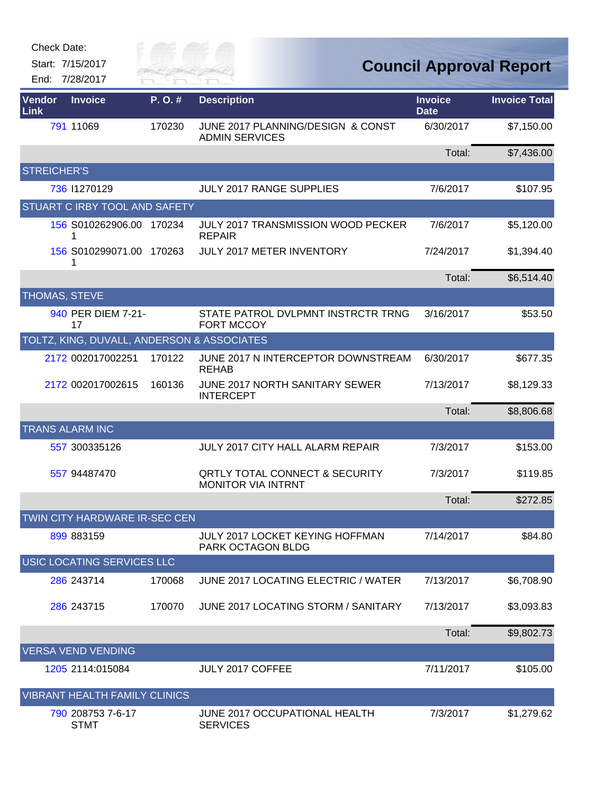| <b>Check Date:</b> |  |
|--------------------|--|
|--------------------|--|



| Vendor<br>Link     | <b>Invoice</b>                             | P.O.#  | <b>Description</b>                                                     | <b>Invoice</b><br><b>Date</b> | <b>Invoice Total</b> |
|--------------------|--------------------------------------------|--------|------------------------------------------------------------------------|-------------------------------|----------------------|
|                    | 791 11069                                  | 170230 | JUNE 2017 PLANNING/DESIGN & CONST<br><b>ADMIN SERVICES</b>             | 6/30/2017                     | \$7,150.00           |
|                    |                                            |        |                                                                        | Total:                        | \$7,436.00           |
| <b>STREICHER'S</b> |                                            |        |                                                                        |                               |                      |
|                    | 736 11270129                               |        | <b>JULY 2017 RANGE SUPPLIES</b>                                        | 7/6/2017                      | \$107.95             |
|                    | STUART C IRBY TOOL AND SAFETY              |        |                                                                        |                               |                      |
|                    | 156 S010262906.00 170234<br>1              |        | <b>JULY 2017 TRANSMISSION WOOD PECKER</b><br><b>REPAIR</b>             | 7/6/2017                      | \$5,120.00           |
|                    | 156 S010299071.00<br>1                     | 170263 | JULY 2017 METER INVENTORY                                              | 7/24/2017                     | \$1,394.40           |
|                    |                                            |        |                                                                        | Total:                        | \$6,514.40           |
|                    | THOMAS, STEVE                              |        |                                                                        |                               |                      |
|                    | 940 PER DIEM 7-21-<br>17                   |        | STATE PATROL DVLPMNT INSTRCTR TRNG<br><b>FORT MCCOY</b>                | 3/16/2017                     | \$53.50              |
|                    | TOLTZ, KING, DUVALL, ANDERSON & ASSOCIATES |        |                                                                        |                               |                      |
|                    | 2172 002017002251                          | 170122 | JUNE 2017 N INTERCEPTOR DOWNSTREAM<br><b>REHAB</b>                     | 6/30/2017                     | \$677.35             |
|                    | 2172 002017002615                          | 160136 | JUNE 2017 NORTH SANITARY SEWER<br><b>INTERCEPT</b>                     | 7/13/2017                     | \$8,129.33           |
|                    |                                            |        |                                                                        | Total:                        | \$8,806.68           |
|                    | <b>TRANS ALARM INC</b>                     |        |                                                                        |                               |                      |
|                    | 557 300335126                              |        | JULY 2017 CITY HALL ALARM REPAIR                                       | 7/3/2017                      | \$153.00             |
|                    | 557 94487470                               |        | <b>QRTLY TOTAL CONNECT &amp; SECURITY</b><br><b>MONITOR VIA INTRNT</b> | 7/3/2017                      | \$119.85             |
|                    |                                            |        |                                                                        | Total:                        | \$272.85             |
|                    | TWIN CITY HARDWARE IR-SEC CEN              |        |                                                                        |                               |                      |
|                    | 899 883159                                 |        | JULY 2017 LOCKET KEYING HOFFMAN<br>PARK OCTAGON BLDG                   | 7/14/2017                     | \$84.80              |
|                    | USIC LOCATING SERVICES LLC                 |        |                                                                        |                               |                      |
|                    | 286 243714                                 | 170068 | JUNE 2017 LOCATING ELECTRIC / WATER                                    | 7/13/2017                     | \$6,708.90           |
|                    | 286 243715                                 | 170070 | JUNE 2017 LOCATING STORM / SANITARY                                    | 7/13/2017                     | \$3,093.83           |
|                    |                                            |        |                                                                        | Total:                        | \$9,802.73           |
|                    | <b>VERSA VEND VENDING</b>                  |        |                                                                        |                               |                      |
|                    | 1205 2114:015084                           |        | JULY 2017 COFFEE                                                       | 7/11/2017                     | \$105.00             |
|                    | <b>VIBRANT HEALTH FAMILY CLINICS</b>       |        |                                                                        |                               |                      |
|                    | 790 208753 7-6-17<br><b>STMT</b>           |        | JUNE 2017 OCCUPATIONAL HEALTH<br><b>SERVICES</b>                       | 7/3/2017                      | \$1,279.62           |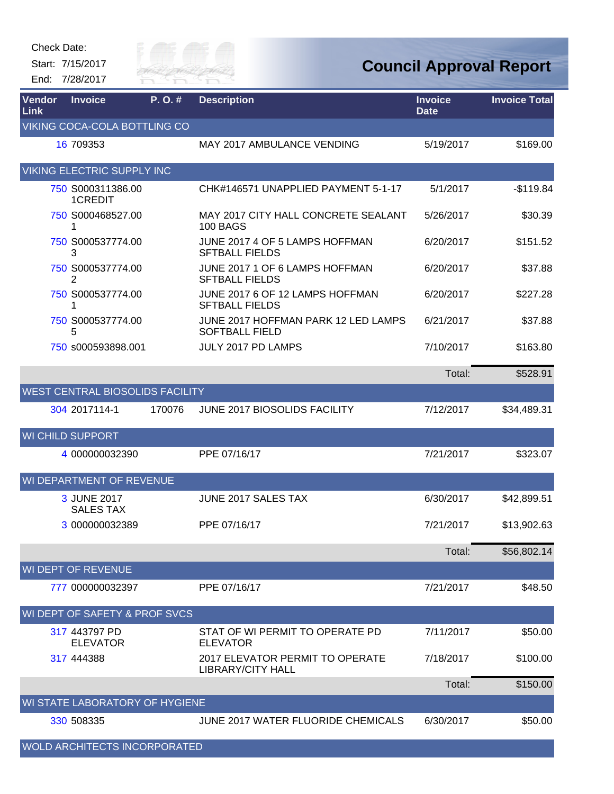| <b>Check Date:</b>    | Start: 7/15/2017<br>End: 7/28/2017     |        | ER FAI                                                       |                               | <b>Council Approval Report</b> |
|-----------------------|----------------------------------------|--------|--------------------------------------------------------------|-------------------------------|--------------------------------|
| <b>Vendor</b><br>Link | <b>Invoice</b>                         | P.O.#  | <b>Description</b>                                           | <b>Invoice</b><br><b>Date</b> | <b>Invoice Total</b>           |
|                       | VIKING COCA-COLA BOTTLING CO           |        |                                                              |                               |                                |
|                       | 16 709353                              |        | <b>MAY 2017 AMBULANCE VENDING</b>                            | 5/19/2017                     | \$169.00                       |
|                       | <b>VIKING ELECTRIC SUPPLY INC</b>      |        |                                                              |                               |                                |
|                       | 750 S000311386.00<br>1CREDIT           |        | CHK#146571 UNAPPLIED PAYMENT 5-1-17                          | 5/1/2017                      | $-$119.84$                     |
|                       | 750 S000468527.00                      |        | MAY 2017 CITY HALL CONCRETE SEALANT<br><b>100 BAGS</b>       | 5/26/2017                     | \$30.39                        |
|                       | 750 S000537774.00<br>3                 |        | JUNE 2017 4 OF 5 LAMPS HOFFMAN<br><b>SFTBALL FIELDS</b>      | 6/20/2017                     | \$151.52                       |
|                       | 750 S000537774.00<br>2                 |        | JUNE 2017 1 OF 6 LAMPS HOFFMAN<br><b>SFTBALL FIELDS</b>      | 6/20/2017                     | \$37.88                        |
|                       | 750 S000537774.00<br>1                 |        | JUNE 2017 6 OF 12 LAMPS HOFFMAN<br><b>SFTBALL FIELDS</b>     | 6/20/2017                     | \$227.28                       |
|                       | 750 S000537774.00<br>5                 |        | JUNE 2017 HOFFMAN PARK 12 LED LAMPS<br><b>SOFTBALL FIELD</b> | 6/21/2017                     | \$37.88                        |
|                       | 750 s000593898.001                     |        | JULY 2017 PD LAMPS                                           | 7/10/2017                     | \$163.80                       |
|                       |                                        |        |                                                              | Total:                        | \$528.91                       |
|                       | <b>WEST CENTRAL BIOSOLIDS FACILITY</b> |        |                                                              |                               |                                |
|                       | 304 2017114-1                          | 170076 | <b>JUNE 2017 BIOSOLIDS FACILITY</b>                          | 7/12/2017                     | \$34,489.31                    |
|                       | <b>WI CHILD SUPPORT</b>                |        |                                                              |                               |                                |
|                       | 4 000000032390                         |        | PPE 07/16/17                                                 | 7/21/2017                     | \$323.07                       |
|                       | WI DEPARTMENT OF REVENUE               |        |                                                              |                               |                                |
|                       | 3 JUNE 2017<br><b>SALES TAX</b>        |        | JUNE 2017 SALES TAX                                          | 6/30/2017                     | \$42,899.51                    |
|                       | 3 000000032389                         |        | PPE 07/16/17                                                 | 7/21/2017                     | \$13,902.63                    |
|                       |                                        |        |                                                              | Total:                        | \$56,802.14                    |
|                       | WI DEPT OF REVENUE                     |        |                                                              |                               |                                |
|                       | 777 000000032397                       |        | PPE 07/16/17                                                 | 7/21/2017                     | \$48.50                        |
|                       | WI DEPT OF SAFETY & PROF SVCS          |        |                                                              |                               |                                |
|                       | 317 443797 PD<br><b>ELEVATOR</b>       |        | STAT OF WI PERMIT TO OPERATE PD<br><b>ELEVATOR</b>           | 7/11/2017                     | \$50.00                        |
|                       | 317 444388                             |        | 2017 ELEVATOR PERMIT TO OPERATE<br><b>LIBRARY/CITY HALL</b>  | 7/18/2017                     | \$100.00                       |
|                       |                                        |        |                                                              | Total:                        | \$150.00                       |
|                       | WI STATE LABORATORY OF HYGIENE         |        |                                                              |                               |                                |
|                       | 330 508335                             |        | JUNE 2017 WATER FLUORIDE CHEMICALS                           | 6/30/2017                     | \$50.00                        |

WOLD ARCHITECTS INCORPORATED